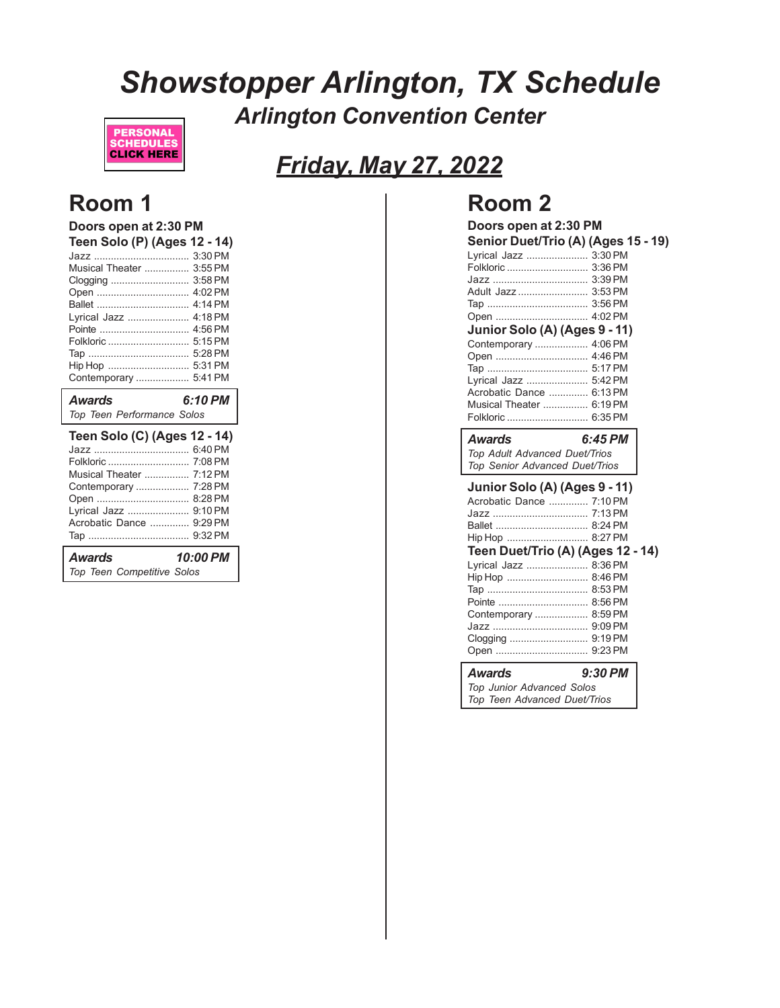# *Showstopper Arlington, TX Schedule Arlington Convention Center*



# *Friday, May 27, 2022*

## **Room 1**

| Doors open at 2:30 PM        |           |
|------------------------------|-----------|
| Teen Solo (P) (Ages 12 - 14) |           |
|                              | 3:30 PM   |
| Musical Theater              | 3:55 PM   |
| Clogging                     | 3:58 PM   |
| Open                         | 4:02 PM   |
|                              | 4:14 PM   |
| Lyrical Jazz                 | $4.18$ PM |
| Pointe                       | 4:56 PM   |
| Folkloric                    | 5:15 PM   |
|                              | 5:28 PM   |
| Hip Hop                      | 5:31 PM   |
| Contemporary                 | 5:41 PM   |
|                              |           |
| Awards                       | 6:10 PM   |
| Top Teen Performance Solos   |           |
|                              |           |
| Teen Solo (C) (Ages 12 - 14) | 6:40 PM   |
|                              | 7:08 PM   |
| Folkloric                    | 7:12 PM   |
| Musical Theater              | 7:28 PM   |
| Contemporary                 | 8:28 PM   |
| Open<br>Lyrical Jazz         | 9:10 PM   |
| Acrobatic Dance              | 9:29 PM   |
| Тар ………………………………             | 9:32 PM   |
| Awards                       | 10:00 PM  |

# **Room 2**

| Doors open at 2:30 PM<br>Lyrical Jazz  3:30 PM                            | Senior Duet/Trio (A) (Ages 15 - 19) |
|---------------------------------------------------------------------------|-------------------------------------|
|                                                                           |                                     |
|                                                                           |                                     |
| Adult Jazz  3:53 PM                                                       |                                     |
|                                                                           |                                     |
|                                                                           |                                     |
| Junior Solo (A) (Ages 9 - 11)                                             |                                     |
| Contemporary  4:06 PM                                                     |                                     |
| Open  4:46 PM                                                             |                                     |
|                                                                           |                                     |
| Lyrical Jazz  5:42 PM                                                     |                                     |
| Acrobatic Dance  6:13 PM                                                  |                                     |
| Musical Theater  6:19 PM                                                  |                                     |
| Folkloric  6:35 PM                                                        |                                     |
|                                                                           |                                     |
| Awards<br>Top Adult Advanced Duet/Trios<br>Top Senior Advanced Duet/Trios | 6:45 PM                             |
|                                                                           |                                     |
| Junior Solo (A) (Ages 9 - 11)<br>Acrobatic Dance  7:10 PM                 |                                     |
|                                                                           |                                     |
|                                                                           |                                     |
| Hip Hop  8:27 PM                                                          |                                     |
| Teen Duet/Trio (A) (Ages 12 - 14)                                         |                                     |
| Lyrical Jazz  8:36 PM                                                     |                                     |
| Hip Hop  8:46 PM                                                          |                                     |
|                                                                           |                                     |

| Contemporary  8:59 PM |  |
|-----------------------|--|
|                       |  |
|                       |  |
|                       |  |

### *Awards 9:30 PM*

*Top Junior Advanced Solos Top Teen Advanced Duet/Trios*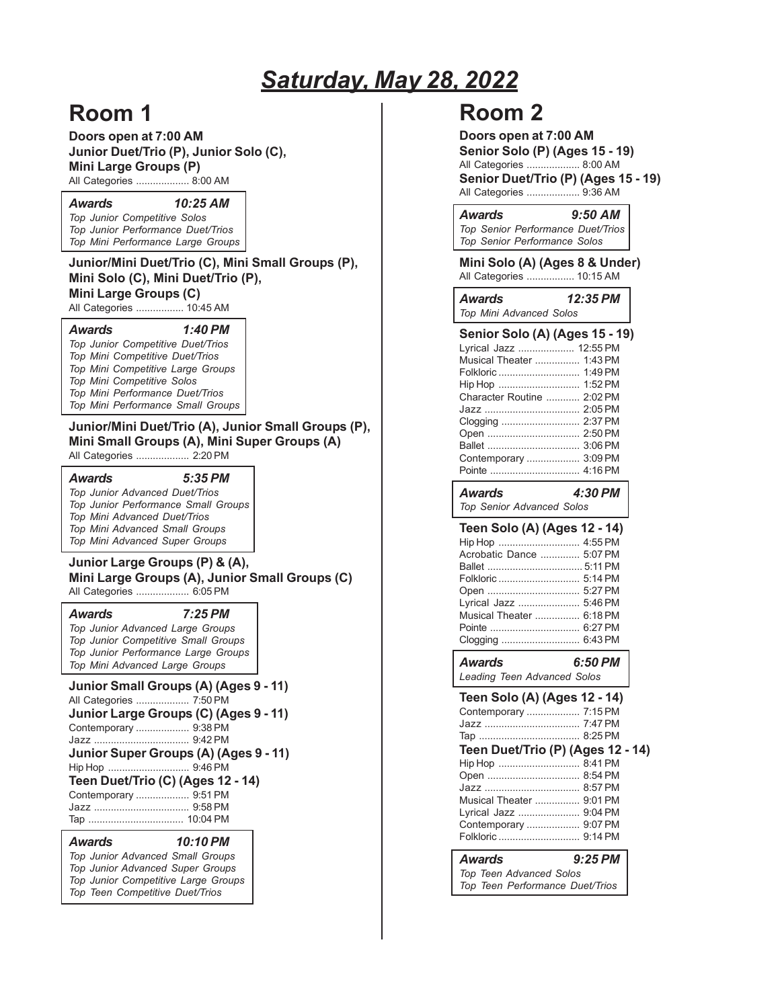# *Saturday, May 28, 2022*

# **Room 1**

**Doors open at 7:00 AM Junior Duet/Trio (P), Junior Solo (C), Mini Large Groups (P)**

All Categories ................... 8:00 AM

*Awards 10:25 AM*

*Top Junior Competitive Solos Top Junior Performance Duet/Trios Top Mini Performance Large Groups*

### **Junior/Mini Duet/Trio (C), Mini Small Groups (P), Mini Solo (C), Mini Duet/Trio (P), Mini Large Groups (C)**

All Categories ................. 10:45 AM

#### *Awards 1:40 PM*

*Top Junior Competitive Duet/Trios Top Mini Competitive Duet/Trios Top Mini Competitive Large Groups Top Mini Competitive Solos Top Mini Performance Duet/Trios Top Mini Performance Small Groups*

**Junior/Mini Duet/Trio (A), Junior Small Groups (P), Mini Small Groups (A), Mini Super Groups (A)** All Categories ................... 2:20 PM

*Awards 5:35 PM*

*Top Junior Advanced Duet/Trios Top Junior Performance Small Groups Top Mini Advanced Duet/Trios Top Mini Advanced Small Groups Top Mini Advanced Super Groups*

### **Junior Large Groups (P) & (A), Mini Large Groups (A), Junior Small Groups (C)**

All Categories ................... 6:05 PM

#### *Awards 7:25 PM*

*Top Junior Advanced Large Groups Top Junior Competitive Small Groups Top Junior Performance Large Groups Top Mini Advanced Large Groups*

**Junior Small Groups (A) (Ages 9 - 11)** All Categories ................... 7:50 PM **Junior Large Groups (C) (Ages 9 - 11)** Contemporary ................... 9:38 PM Jazz .................................. 9:42 PM **Junior Super Groups (A) (Ages 9 - 11)** Hip Hop ............................. 9:46 PM **Teen Duet/Trio (C) (Ages 12 - 14)** Contemporary ................... 9:51 PM Jazz .................................. 9:58 PM Tap .................................. 10:04 PM

### *Awards 10:10 PM*

*Top Junior Advanced Small Groups Top Junior Advanced Super Groups Top Junior Competitive Large Groups Top Teen Competitive Duet/Trios*

| <b>Room 2</b>                                                                                                                                                                                                                                                   |
|-----------------------------------------------------------------------------------------------------------------------------------------------------------------------------------------------------------------------------------------------------------------|
| Doors open at 7:00 AM<br><b>Senior Solo (P) (Ages 15 - 19)</b><br>All Categories  8:00 AM<br>Senior Duet/Trio (P) (Ages 15 - 19)<br>All Categories  9:36 AM                                                                                                     |
| <b>Awards</b><br>9:50 AM<br>Top Senior Performance Duet/Trios<br>Top Senior Performance Solos                                                                                                                                                                   |
| Mini Solo (A) (Ages 8 & Under)<br>All Categories  10:15 AM                                                                                                                                                                                                      |
| 12:35 PM<br><b>Awards</b><br>Top Mini Advanced Solos                                                                                                                                                                                                            |
| Senior Solo (A) (Ages 15 - 19)<br>Lyrical Jazz  12:55 PM<br>Musical Theater  1:43 PM<br>Folkloric  1:49 PM<br>Hip Hop  1:52 PM<br>Character Routine  2:02 PM<br>Jazz  2:05 PM<br>Clogging  2:37 PM<br>Open  2:50 PM<br>Ballet  3:06 PM<br>Contemporary  3:09 PM |
| <b>Awards</b><br>4:30 PM<br>Top Senior Advanced Solos                                                                                                                                                                                                           |
| Teen Solo (A) (Ages 12 - 14)<br>Hip Hop  4:55 PM<br>Acrobatic Dance  5:07 PM<br>Folkloric  5:14 PM<br>Open  5:27 PM<br>Lyrical Jazz  5:46 PM<br>Musical Theater  6:18 PM<br>Pointe  6:27 PM<br>Clogging  6:43 PM                                                |
| 6:50 PM<br><b>Awards</b><br>Leading Teen Advanced Solos                                                                                                                                                                                                         |
| Teen Solo (A) (Ages 12 - 14)<br>Contemporary  7:15 PM<br>Teen Duet/Trio (P) (Ages 12 - 14)<br>Hip Hop  8:41 PM<br>Open  8:54 PM<br>Jazz  8:57 PM<br>Musical Theater  9:01 PM<br>Lyrical Jazz  9:04 PM<br>Contemporary  9:07 PM                                  |
| $9:25$ PM<br><b>Awards</b><br>Top Teen Advanced Solos                                                                                                                                                                                                           |
| Top Teen Performance Duet/Trios                                                                                                                                                                                                                                 |